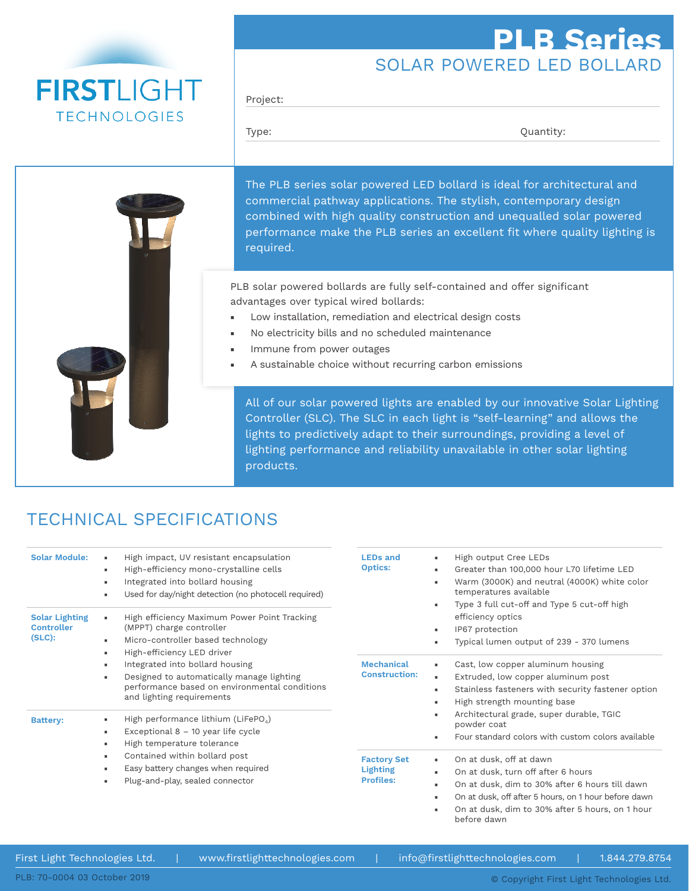# **FIRSTLIGHT TECHNOLOGIES**

## SOLAR POWERED LED BOLLARD **PLB Series**

Project:

Type:  $\qquad \qquad \text{Quantity:}$ 

The PLB series solar powered LED bollard is ideal for architectural and commercial pathway applications. The stylish, contemporary design combined with high quality construction and unequalled solar powered performance make the PLB series an excellent fit where quality lighting is required.

PLB solar powered bollards are fully self-contained and offer significant advantages over typical wired bollards:

- Low installation, remediation and electrical design costs
- No electricity bills and no scheduled maintenance
- Immune from power outages
- A sustainable choice without recurring carbon emissions

All of our solar powered lights are enabled by our innovative Solar Lighting Controller (SLC). The SLC in each light is "self-learning" and allows the lights to predictively adapt to their surroundings, providing a level of lighting performance and reliability unavailable in other solar lighting products.

## TECHNICAL SPECIFICATIONS

| <b>Solar Module:</b><br><b>Solar Lighting</b> | High impact, UV resistant encapsulation<br>High-efficiency mono-crystalline cells<br>$\mathbf{u}$<br>Integrated into bollard housing<br>٠<br>Used for day/night detection (no photocell required)<br>×.<br>High efficiency Maximum Power Point Tracking       | <b>LEDs and</b><br><b>Optics:</b><br><b>Mechanical</b><br><b>Construction:</b> | High output Cree LEDs<br>ж.<br>Greater than 100,000 hour L70 lifetime LED<br>×.<br>Warm (3000K) and neutral (4000K) white color<br>٠<br>temperatures available<br>Type 3 full cut-off and Type 5 cut-off high<br>٠<br>efficiency optics                                |  |
|-----------------------------------------------|---------------------------------------------------------------------------------------------------------------------------------------------------------------------------------------------------------------------------------------------------------------|--------------------------------------------------------------------------------|------------------------------------------------------------------------------------------------------------------------------------------------------------------------------------------------------------------------------------------------------------------------|--|
| <b>Controller</b><br>$(SLC)$ :                | (MPPT) charge controller                                                                                                                                                                                                                                      |                                                                                | IP67 protection<br>×.                                                                                                                                                                                                                                                  |  |
|                                               | Micro-controller based technology<br>$\mathbf{u}$<br>High-efficiency LED driver<br>$\mathbf{u}$                                                                                                                                                               |                                                                                | Typical lumen output of 239 - 370 lumens<br>×                                                                                                                                                                                                                          |  |
|                                               | Integrated into bollard housing<br>$\mathbf{u}$<br>Designed to automatically manage lighting<br>×.<br>performance based on environmental conditions<br>and lighting requirements                                                                              |                                                                                | Cast, low copper aluminum housing<br>$\mathbf{r}$<br>Extruded, low copper aluminum post<br>$\mathbf{r}$<br>Stainless fasteners with security fastener option<br>×.<br>High strength mounting base<br>л.                                                                |  |
| <b>Battery:</b>                               | High performance lithium (LiFePO <sub>4</sub> )<br>Exceptional $8 - 10$ year life cycle<br>л.<br>High temperature tolerance<br>×.<br>Contained within bollard post<br>$\blacksquare$<br>Easy battery changes when required<br>Plug-and-play, sealed connector |                                                                                | Architectural grade, super durable, TGIC<br>٠<br>powder coat<br>Four standard colors with custom colors available<br>$\blacksquare$                                                                                                                                    |  |
|                                               |                                                                                                                                                                                                                                                               | <b>Factory Set</b><br><b>Lighting</b><br><b>Profiles:</b>                      | On at dusk, off at dawn<br>×.<br>On at dusk, turn off after 6 hours<br>х.<br>On at dusk, dim to 30% after 6 hours till dawn<br>х.<br>On at dusk, off after 5 hours, on 1 hour before dawn<br>л.<br>On at dusk, dim to 30% after 5 hours, on 1 hour<br>٠<br>before dawn |  |

First Light Technologies Ltd. | www.firstlighttechnologies.com | info@firstlighttechnologies.com | 1.844.279.8754

PLB: 70-0004 03 October 2019